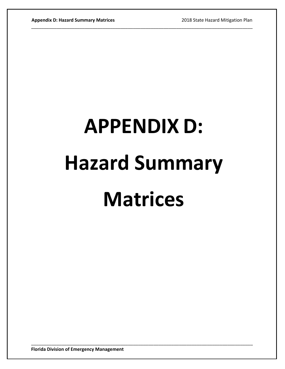## **APPENDIX D: Hazard Summary Matrices**

\_\_\_\_\_\_\_\_\_\_\_\_\_\_\_\_\_\_\_\_\_\_\_\_\_\_\_\_\_\_\_\_\_\_\_\_\_\_\_\_\_\_\_\_\_\_\_\_\_\_\_\_\_\_\_\_\_\_\_\_\_\_\_\_\_\_\_\_\_\_\_\_\_\_\_\_\_\_\_\_\_\_\_\_\_\_\_

\_\_\_\_\_\_\_\_\_\_\_\_\_\_\_\_\_\_\_\_\_\_\_\_\_\_\_\_\_\_\_\_\_\_\_\_\_\_\_\_\_\_\_\_\_\_\_\_\_\_\_\_\_\_\_\_\_\_\_\_\_\_\_\_\_\_\_\_\_\_\_\_\_\_\_\_\_\_\_\_\_\_\_\_\_\_\_

**Florida Division of Emergency Management**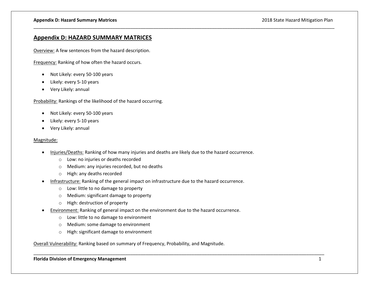## **Appendix D: HAZARD SUMMARY MATRICES**

Overview: A few sentences from the hazard description.

Frequency: Ranking of how often the hazard occurs.

- Not Likely: every 50-100 years
- Likely: every 5-10 years
- Very Likely: annual

Probability: Rankings of the likelihood of the hazard occurring.

- Not Likely: every 50-100 years
- Likely: every 5-10 years
- Very Likely: annual

## Magnitude:

Injuries/Deaths: Ranking of how many injuries and deaths are likely due to the hazard occurrence.

\_\_\_\_\_\_\_\_\_\_\_\_\_\_\_\_\_\_\_\_\_\_\_\_\_\_\_\_\_\_\_\_\_\_\_\_\_\_\_\_\_\_\_\_\_\_\_\_\_\_\_\_\_\_\_\_\_\_\_\_\_\_\_\_\_\_\_\_\_\_\_\_\_\_\_\_\_\_\_\_\_\_\_\_\_\_\_\_\_\_\_\_\_\_\_\_\_\_\_\_\_\_\_\_\_\_\_\_\_\_\_\_\_\_\_\_\_\_

- o Low: no injuries or deaths recorded
- o Medium: any injuries recorded, but no deaths
- o High: any deaths recorded
- Infrastructure: Ranking of the general impact on infrastructure due to the hazard occurrence.
	- o Low: little to no damage to property
	- o Medium: significant damage to property
	- o High: destruction of property
- Environment: Ranking of general impact on the environment due to the hazard occurrence.

\_\_\_\_\_\_\_\_\_\_\_\_\_\_\_\_\_\_\_\_\_\_\_\_\_\_\_\_\_\_\_\_\_\_\_\_\_\_\_\_\_\_\_\_\_\_\_\_\_\_\_\_\_\_\_\_\_\_\_\_\_\_\_\_\_\_\_\_\_\_\_\_\_\_\_\_\_\_\_\_\_\_\_\_\_\_\_\_\_\_\_\_\_\_\_\_\_\_\_\_\_\_\_\_\_\_\_\_\_\_\_\_\_\_

- o Low: little to no damage to environment
- o Medium: some damage to environment
- o High: significant damage to environment

Overall Vulnerability: Ranking based on summary of Frequency, Probability, and Magnitude.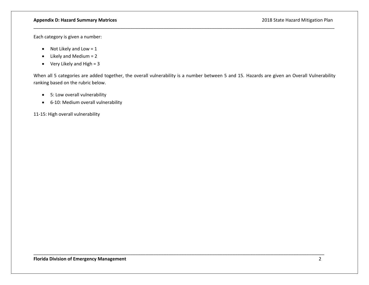## **Appendix D: Hazard Summary Matrices** 2018 State Hazard Mitigation Plan

Each category is given a number:

- $\bullet$  Not Likely and Low = 1
- $\bullet$  Likely and Medium = 2
- $\bullet$  Very Likely and High = 3

When all 5 categories are added together, the overall vulnerability is a number between 5 and 15. Hazards are given an Overall Vulnerability ranking based on the rubric below.

\_\_\_\_\_\_\_\_\_\_\_\_\_\_\_\_\_\_\_\_\_\_\_\_\_\_\_\_\_\_\_\_\_\_\_\_\_\_\_\_\_\_\_\_\_\_\_\_\_\_\_\_\_\_\_\_\_\_\_\_\_\_\_\_\_\_\_\_\_\_\_\_\_\_\_\_\_\_\_\_\_\_\_\_\_\_\_\_\_\_\_\_\_\_\_\_\_\_\_\_\_\_\_\_\_\_\_\_\_\_\_\_\_\_

\_\_\_\_\_\_\_\_\_\_\_\_\_\_\_\_\_\_\_\_\_\_\_\_\_\_\_\_\_\_\_\_\_\_\_\_\_\_\_\_\_\_\_\_\_\_\_\_\_\_\_\_\_\_\_\_\_\_\_\_\_\_\_\_\_\_\_\_\_\_\_\_\_\_\_\_\_\_\_\_\_\_\_\_\_\_\_\_\_\_\_\_\_\_\_\_\_\_\_\_\_\_\_\_\_\_\_\_\_\_\_\_\_\_\_\_\_\_

- 5: Low overall vulnerability
- 6-10: Medium overall vulnerability

11-15: High overall vulnerability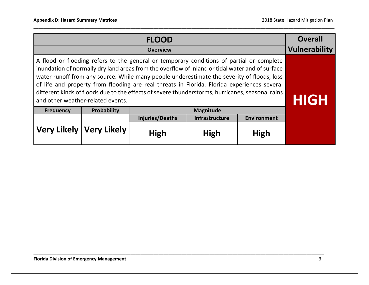|                  | <b>Overall</b><br><b>Vulnerability</b>                                                                                                                                                                                                                                                                                                                                                                                                                                                                                            |                        |                       |                    |  |  |
|------------------|-----------------------------------------------------------------------------------------------------------------------------------------------------------------------------------------------------------------------------------------------------------------------------------------------------------------------------------------------------------------------------------------------------------------------------------------------------------------------------------------------------------------------------------|------------------------|-----------------------|--------------------|--|--|
|                  | A flood or flooding refers to the general or temporary conditions of partial or complete<br>inundation of normally dry land areas from the overflow of inland or tidal water and of surface<br>water runoff from any source. While many people underestimate the severity of floods, loss<br>of life and property from flooding are real threats in Florida. Florida experiences several<br>different kinds of floods due to the effects of severe thunderstorms, hurricanes, seasonal rains<br>and other weather-related events. |                        |                       |                    |  |  |
| <b>Frequency</b> | Probability                                                                                                                                                                                                                                                                                                                                                                                                                                                                                                                       |                        | <b>Magnitude</b>      |                    |  |  |
|                  |                                                                                                                                                                                                                                                                                                                                                                                                                                                                                                                                   | <b>Injuries/Deaths</b> | <b>Infrastructure</b> | <b>Environment</b> |  |  |
|                  | Very Likely   Very Likely                                                                                                                                                                                                                                                                                                                                                                                                                                                                                                         | <b>High</b>            | High                  | <b>High</b>        |  |  |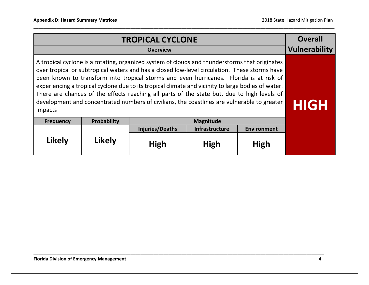|                                                                                                                                                                                                                                                                                                                                                                                                                                                                                                                                                                                                           | <b>Overall</b><br><b>Vulnerability</b> |                        |                       |                    |  |
|-----------------------------------------------------------------------------------------------------------------------------------------------------------------------------------------------------------------------------------------------------------------------------------------------------------------------------------------------------------------------------------------------------------------------------------------------------------------------------------------------------------------------------------------------------------------------------------------------------------|----------------------------------------|------------------------|-----------------------|--------------------|--|
| A tropical cyclone is a rotating, organized system of clouds and thunderstorms that originates<br>over tropical or subtropical waters and has a closed low-level circulation. These storms have<br>been known to transform into tropical storms and even hurricanes. Florida is at risk of<br>experiencing a tropical cyclone due to its tropical climate and vicinity to large bodies of water.<br>There are chances of the effects reaching all parts of the state but, due to high levels of<br>development and concentrated numbers of civilians, the coastlines are vulnerable to greater<br>impacts | <b>HIGH</b>                            |                        |                       |                    |  |
| <b>Frequency</b>                                                                                                                                                                                                                                                                                                                                                                                                                                                                                                                                                                                          | <b>Probability</b>                     |                        | Magnitude             |                    |  |
|                                                                                                                                                                                                                                                                                                                                                                                                                                                                                                                                                                                                           |                                        | <b>Injuries/Deaths</b> | <b>Infrastructure</b> | <b>Environment</b> |  |
| <b>Likely</b>                                                                                                                                                                                                                                                                                                                                                                                                                                                                                                                                                                                             | <b>Likely</b>                          | <b>High</b>            | High                  | High               |  |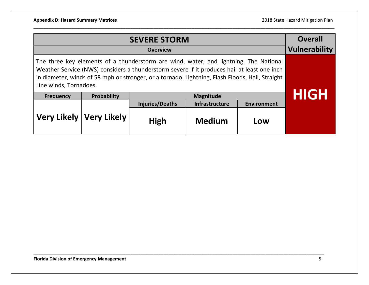|                                                                                                                                                                                                                                                                                                                   | <b>Overall</b><br><b>Vulnerability</b> |                 |                  |                    |                   |
|-------------------------------------------------------------------------------------------------------------------------------------------------------------------------------------------------------------------------------------------------------------------------------------------------------------------|----------------------------------------|-----------------|------------------|--------------------|-------------------|
| The three key elements of a thunderstorm are wind, water, and lightning. The National<br>Weather Service (NWS) considers a thunderstorm severe if it produces hail at least one inch<br>in diameter, winds of 58 mph or stronger, or a tornado. Lightning, Flash Floods, Hail, Straight<br>Line winds, Tornadoes. |                                        |                 |                  |                    |                   |
| <b>Frequency</b>                                                                                                                                                                                                                                                                                                  | Probability                            |                 | <b>Magnitude</b> |                    | <u>    [c]   </u> |
|                                                                                                                                                                                                                                                                                                                   |                                        | Injuries/Deaths | Infrastructure   | <b>Environment</b> |                   |
|                                                                                                                                                                                                                                                                                                                   | Very Likely   Very Likely              | High            | <b>Medium</b>    | Low                |                   |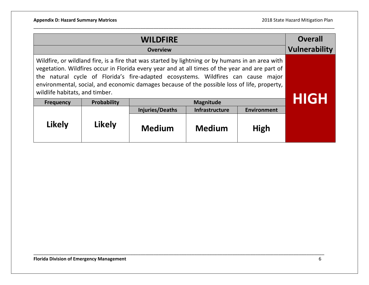|                                                                                                                                                                                                                                                                                                                                                                                                                          | <b>Overall</b><br><b>Vulnerability</b> |                        |                       |                    |      |
|--------------------------------------------------------------------------------------------------------------------------------------------------------------------------------------------------------------------------------------------------------------------------------------------------------------------------------------------------------------------------------------------------------------------------|----------------------------------------|------------------------|-----------------------|--------------------|------|
| Wildfire, or wildland fire, is a fire that was started by lightning or by humans in an area with<br>vegetation. Wildfires occur in Florida every year and at all times of the year and are part of<br>the natural cycle of Florida's fire-adapted ecosystems. Wildfires can cause major<br>environmental, social, and economic damages because of the possible loss of life, property,<br>wildlife habitats, and timber. |                                        |                        |                       |                    |      |
| <b>Frequency</b>                                                                                                                                                                                                                                                                                                                                                                                                         | Probability                            |                        | <b>Magnitude</b>      |                    | HIGH |
|                                                                                                                                                                                                                                                                                                                                                                                                                          |                                        | <b>Injuries/Deaths</b> | <b>Infrastructure</b> | <b>Environment</b> |      |
| <b>Likely</b>                                                                                                                                                                                                                                                                                                                                                                                                            | <b>Likely</b>                          | <b>Medium</b>          | <b>Medium</b>         | High               |      |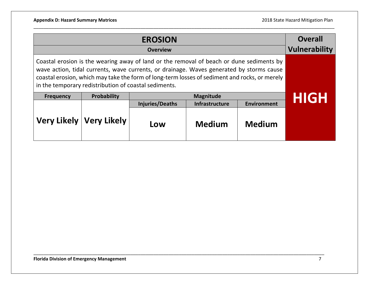|                                                                                                                                                                                                                                                                                                                                                | <b>Overall</b><br><b>Vulnerability</b> |                        |                  |                    |              |
|------------------------------------------------------------------------------------------------------------------------------------------------------------------------------------------------------------------------------------------------------------------------------------------------------------------------------------------------|----------------------------------------|------------------------|------------------|--------------------|--------------|
| Coastal erosion is the wearing away of land or the removal of beach or dune sediments by<br>wave action, tidal currents, wave currents, or drainage. Waves generated by storms cause<br>coastal erosion, which may take the form of long-term losses of sediment and rocks, or merely<br>in the temporary redistribution of coastal sediments. |                                        |                        |                  |                    |              |
| <b>Frequency</b>                                                                                                                                                                                                                                                                                                                               | Probability                            |                        | <b>Magnitude</b> |                    | <u> HIGH</u> |
|                                                                                                                                                                                                                                                                                                                                                |                                        | <b>Injuries/Deaths</b> | Infrastructure   | <b>Environment</b> |              |
|                                                                                                                                                                                                                                                                                                                                                | Very Likely   Very Likely              | Low                    | <b>Medium</b>    | <b>Medium</b>      |              |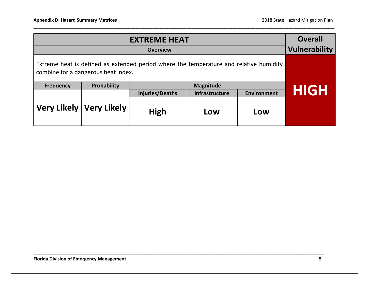|                                                                                                                               | <b>Overall</b><br><b>Vulnerability</b> |                 |                  |                    |      |
|-------------------------------------------------------------------------------------------------------------------------------|----------------------------------------|-----------------|------------------|--------------------|------|
| Extreme heat is defined as extended period where the temperature and relative humidity<br>combine for a dangerous heat index. |                                        |                 |                  |                    |      |
| <b>Frequency</b>                                                                                                              | Probability                            |                 | <b>Magnitude</b> |                    | HIGH |
|                                                                                                                               |                                        | Injuries/Deaths | Infrastructure   | <b>Environment</b> |      |
|                                                                                                                               | Very Likely   Very Likely              | High            | Low              | Low                |      |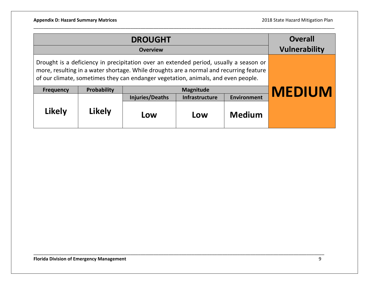| <b>DROUGHT</b>                                                                                                                                                                                                                                                                                                              |        |                        |                |                    | <b>Overall</b>       |
|-----------------------------------------------------------------------------------------------------------------------------------------------------------------------------------------------------------------------------------------------------------------------------------------------------------------------------|--------|------------------------|----------------|--------------------|----------------------|
|                                                                                                                                                                                                                                                                                                                             |        | <b>Overview</b>        |                |                    | <b>Vulnerability</b> |
| Drought is a deficiency in precipitation over an extended period, usually a season or<br>more, resulting in a water shortage. While droughts are a normal and recurring feature<br>of our climate, sometimes they can endanger vegetation, animals, and even people.<br>Probability<br><b>Magnitude</b><br><b>Frequency</b> |        |                        |                |                    | <b>MEDIUM</b>        |
|                                                                                                                                                                                                                                                                                                                             |        | <b>Injuries/Deaths</b> | Infrastructure | <b>Environment</b> |                      |
| <b>Likely</b>                                                                                                                                                                                                                                                                                                               | Likely | Low                    | Low            | <b>Medium</b>      |                      |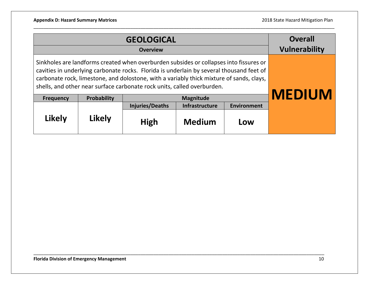|                                                                                                                                                                                                                                                                                                                                                           | <b>Overall</b><br><b>Vulnerability</b> |                        |                  |                    |               |
|-----------------------------------------------------------------------------------------------------------------------------------------------------------------------------------------------------------------------------------------------------------------------------------------------------------------------------------------------------------|----------------------------------------|------------------------|------------------|--------------------|---------------|
| Sinkholes are landforms created when overburden subsides or collapses into fissures or<br>cavities in underlying carbonate rocks. Florida is underlain by several thousand feet of<br>carbonate rock, limestone, and dolostone, with a variably thick mixture of sands, clays,<br>shells, and other near surface carbonate rock units, called overburden. |                                        |                        |                  |                    |               |
| <b>Frequency</b>                                                                                                                                                                                                                                                                                                                                          | Probability                            |                        | <b>Magnitude</b> |                    | <b>MEDIUM</b> |
|                                                                                                                                                                                                                                                                                                                                                           |                                        | <b>Injuries/Deaths</b> | Infrastructure   | <b>Environment</b> |               |
| <b>Likely</b>                                                                                                                                                                                                                                                                                                                                             | <b>Likely</b>                          | High                   | <b>Medium</b>    | Low                |               |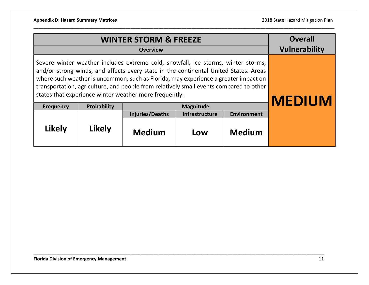|                                                                                                                                                                                                                                                                                                                                                                                                                      | <b>Overall</b><br><b>Vulnerability</b> |                        |                       |                    |  |
|----------------------------------------------------------------------------------------------------------------------------------------------------------------------------------------------------------------------------------------------------------------------------------------------------------------------------------------------------------------------------------------------------------------------|----------------------------------------|------------------------|-----------------------|--------------------|--|
| Severe winter weather includes extreme cold, snowfall, ice storms, winter storms,<br>and/or strong winds, and affects every state in the continental United States. Areas<br>where such weather is uncommon, such as Florida, may experience a greater impact on<br>transportation, agriculture, and people from relatively small events compared to other<br>states that experience winter weather more frequently. | <b>MEDIUM</b>                          |                        |                       |                    |  |
| <b>Frequency</b>                                                                                                                                                                                                                                                                                                                                                                                                     | <b>Probability</b>                     |                        | <b>Magnitude</b>      |                    |  |
|                                                                                                                                                                                                                                                                                                                                                                                                                      |                                        | <b>Injuries/Deaths</b> | <b>Infrastructure</b> | <b>Environment</b> |  |
| Likely                                                                                                                                                                                                                                                                                                                                                                                                               | <b>Likely</b>                          | <b>Medium</b>          | Low                   | <b>Medium</b>      |  |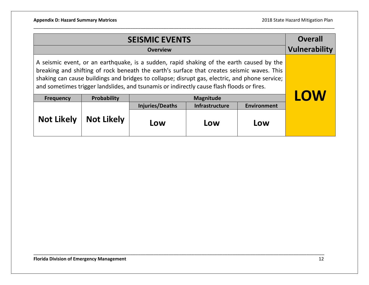|                                                                                                                                                                                                                                                                                                                                                                                       | <b>Overall</b><br><b>Vulnerability</b> |                 |                  |                    |            |
|---------------------------------------------------------------------------------------------------------------------------------------------------------------------------------------------------------------------------------------------------------------------------------------------------------------------------------------------------------------------------------------|----------------------------------------|-----------------|------------------|--------------------|------------|
| A seismic event, or an earthquake, is a sudden, rapid shaking of the earth caused by the<br>breaking and shifting of rock beneath the earth's surface that creates seismic waves. This<br>shaking can cause buildings and bridges to collapse; disrupt gas, electric, and phone service;<br>and sometimes trigger landslides, and tsunamis or indirectly cause flash floods or fires. |                                        |                 |                  |                    |            |
| <b>Frequency</b>                                                                                                                                                                                                                                                                                                                                                                      | Probability                            |                 | <b>Magnitude</b> |                    | <b>LOW</b> |
|                                                                                                                                                                                                                                                                                                                                                                                       |                                        | Injuries/Deaths | Infrastructure   | <b>Environment</b> |            |
| <b>Not Likely</b>                                                                                                                                                                                                                                                                                                                                                                     | <b>Not Likely</b>                      | Low             | Low              | Low                |            |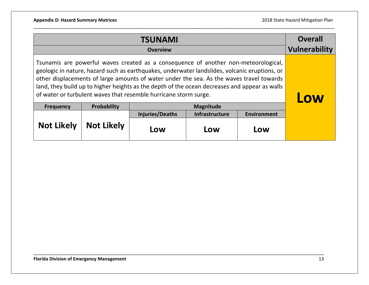|                                                                                                                                                                                                                                                                                                                                                                                                                                                       | <b>Overall</b><br><b>Vulnerability</b> |                        |                       |                    |  |
|-------------------------------------------------------------------------------------------------------------------------------------------------------------------------------------------------------------------------------------------------------------------------------------------------------------------------------------------------------------------------------------------------------------------------------------------------------|----------------------------------------|------------------------|-----------------------|--------------------|--|
| Tsunamis are powerful waves created as a consequence of another non-meteorological,<br>geologic in nature, hazard such as earthquakes, underwater landslides, volcanic eruptions, or<br>other displacements of large amounts of water under the sea. As the waves travel towards<br>land, they build up to higher heights as the depth of the ocean decreases and appear as walls<br>of water or turbulent waves that resemble hurricane storm surge. | Low                                    |                        |                       |                    |  |
| <b>Frequency</b>                                                                                                                                                                                                                                                                                                                                                                                                                                      | Probability                            |                        | <b>Magnitude</b>      |                    |  |
|                                                                                                                                                                                                                                                                                                                                                                                                                                                       |                                        | <b>Injuries/Deaths</b> | <b>Infrastructure</b> | <b>Environment</b> |  |
| <b>Not Likely</b>                                                                                                                                                                                                                                                                                                                                                                                                                                     | <b>Not Likely</b>                      | Low                    | Low                   | Low                |  |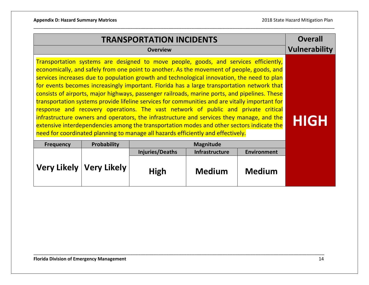| <b>TRANSPORTATION INCIDENTS</b> |                           |                                                                                                                                                                                                                                                                                                                                                                                                                                                                                                                                                                                                                                                                                                                                                                                                                                                                                                                                                     |                  |                    | <b>Overall</b>       |
|---------------------------------|---------------------------|-----------------------------------------------------------------------------------------------------------------------------------------------------------------------------------------------------------------------------------------------------------------------------------------------------------------------------------------------------------------------------------------------------------------------------------------------------------------------------------------------------------------------------------------------------------------------------------------------------------------------------------------------------------------------------------------------------------------------------------------------------------------------------------------------------------------------------------------------------------------------------------------------------------------------------------------------------|------------------|--------------------|----------------------|
|                                 |                           | <b>Overview</b>                                                                                                                                                                                                                                                                                                                                                                                                                                                                                                                                                                                                                                                                                                                                                                                                                                                                                                                                     |                  |                    | <b>Vulnerability</b> |
|                                 |                           | Transportation systems are designed to move people, goods, and services efficiently,<br>economically, and safely from one point to another. As the movement of people, goods, and<br>services increases due to population growth and technological innovation, the need to plan<br>for events becomes increasingly important. Florida has a large transportation network that<br>consists of airports, major highways, passenger railroads, marine ports, and pipelines. These<br>transportation systems provide lifeline services for communities and are vitally important for<br>response and recovery operations. The vast network of public and private critical<br>infrastructure owners and operators, the infrastructure and services they manage, and the<br>extensive interdependencies among the transportation modes and other sectors indicate the<br>need for coordinated planning to manage all hazards efficiently and effectively. |                  |                    | <b>HIGH</b>          |
| <b>Frequency</b>                | Probability               |                                                                                                                                                                                                                                                                                                                                                                                                                                                                                                                                                                                                                                                                                                                                                                                                                                                                                                                                                     | <b>Magnitude</b> |                    |                      |
|                                 |                           | <b>Injuries/Deaths</b>                                                                                                                                                                                                                                                                                                                                                                                                                                                                                                                                                                                                                                                                                                                                                                                                                                                                                                                              | Infrastructure   | <b>Environment</b> |                      |
|                                 | Very Likely   Very Likely | <b>High</b>                                                                                                                                                                                                                                                                                                                                                                                                                                                                                                                                                                                                                                                                                                                                                                                                                                                                                                                                         | <b>Medium</b>    | <b>Medium</b>      |                      |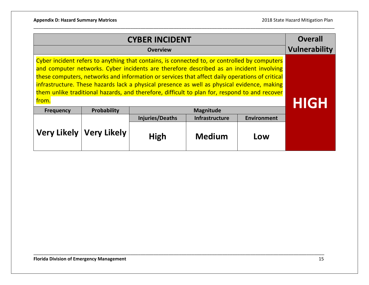|                                                                                                                                                                                                                                                                                                                                                                                                                                                                                                    | <b>Overall</b><br><b>Vulnerability</b> |             |               |     |  |  |
|----------------------------------------------------------------------------------------------------------------------------------------------------------------------------------------------------------------------------------------------------------------------------------------------------------------------------------------------------------------------------------------------------------------------------------------------------------------------------------------------------|----------------------------------------|-------------|---------------|-----|--|--|
|                                                                                                                                                                                                                                                                                                                                                                                                                                                                                                    | <b>Overview</b>                        |             |               |     |  |  |
| Cyber incident refers to anything that contains, is connected to, or controlled by computers<br>and computer networks. Cyber incidents are therefore described as an incident involving<br>these computers, networks and information or services that affect daily operations of critical<br>infrastructure. These hazards lack a physical presence as well as physical evidence, making<br>them unlike traditional hazards, and therefore, difficult to plan for, respond to and recover<br>from. | HIGH                                   |             |               |     |  |  |
| <b>Frequency</b>                                                                                                                                                                                                                                                                                                                                                                                                                                                                                   | Probability                            |             |               |     |  |  |
| <b>Injuries/Deaths</b><br>Infrastructure<br><b>Environment</b>                                                                                                                                                                                                                                                                                                                                                                                                                                     |                                        |             |               |     |  |  |
|                                                                                                                                                                                                                                                                                                                                                                                                                                                                                                    | Very Likely   Very Likely              | <b>High</b> | <b>Medium</b> | Low |  |  |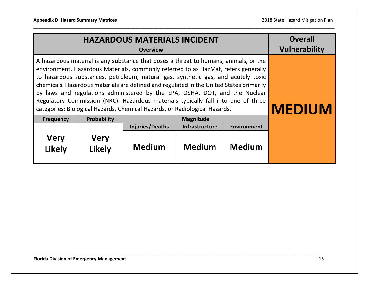|                                                                                                                                                                                                                                                                                                                                                                                                                                                                                                                                                                                                              | <b>Overall</b><br><b>Vulnerability</b> |                        |                                |                    |  |  |  |  |
|--------------------------------------------------------------------------------------------------------------------------------------------------------------------------------------------------------------------------------------------------------------------------------------------------------------------------------------------------------------------------------------------------------------------------------------------------------------------------------------------------------------------------------------------------------------------------------------------------------------|----------------------------------------|------------------------|--------------------------------|--------------------|--|--|--|--|
| A hazardous material is any substance that poses a threat to humans, animals, or the<br>environment. Hazardous Materials, commonly referred to as HazMat, refers generally<br>to hazardous substances, petroleum, natural gas, synthetic gas, and acutely toxic<br>chemicals. Hazardous materials are defined and regulated in the United States primarily<br>by laws and regulations administered by the EPA, OSHA, DOT, and the Nuclear<br>Regulatory Commission (NRC). Hazardous materials typically fall into one of three<br>categories: Biological Hazards, Chemical Hazards, or Radiological Hazards. | <b>MEDIUM</b>                          |                        |                                |                    |  |  |  |  |
| <b>Frequency</b>                                                                                                                                                                                                                                                                                                                                                                                                                                                                                                                                                                                             | <b>Probability</b>                     |                        | <b>Magnitude</b>               |                    |  |  |  |  |
|                                                                                                                                                                                                                                                                                                                                                                                                                                                                                                                                                                                                              |                                        | <b>Injuries/Deaths</b> | <b>Infrastructure</b>          | <b>Environment</b> |  |  |  |  |
| <b>Very</b><br><b>Likely</b>                                                                                                                                                                                                                                                                                                                                                                                                                                                                                                                                                                                 | <b>Very</b><br><b>Likely</b>           | <b>Medium</b>          | <b>Medium</b><br><b>Medium</b> |                    |  |  |  |  |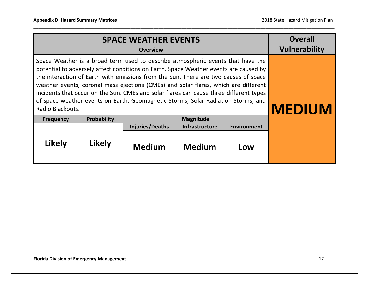|                                                                                                                                                                                                                                                                                                                                                                                                                                                                                                                                                           | <b>Overall</b><br><b>Vulnerability</b> |                        |                       |                    |  |
|-----------------------------------------------------------------------------------------------------------------------------------------------------------------------------------------------------------------------------------------------------------------------------------------------------------------------------------------------------------------------------------------------------------------------------------------------------------------------------------------------------------------------------------------------------------|----------------------------------------|------------------------|-----------------------|--------------------|--|
| Space Weather is a broad term used to describe atmospheric events that have the<br>potential to adversely affect conditions on Earth. Space Weather events are caused by<br>the interaction of Earth with emissions from the Sun. There are two causes of space<br>weather events, coronal mass ejections (CMEs) and solar flares, which are different<br>incidents that occur on the Sun. CMEs and solar flares can cause three different types<br>of space weather events on Earth, Geomagnetic Storms, Solar Radiation Storms, and<br>Radio Blackouts. | <b>MEDIUM</b>                          |                        |                       |                    |  |
| <b>Frequency</b>                                                                                                                                                                                                                                                                                                                                                                                                                                                                                                                                          | <b>Probability</b>                     |                        | <b>Magnitude</b>      |                    |  |
|                                                                                                                                                                                                                                                                                                                                                                                                                                                                                                                                                           |                                        | <b>Injuries/Deaths</b> | <b>Infrastructure</b> | <b>Environment</b> |  |
| Likely                                                                                                                                                                                                                                                                                                                                                                                                                                                                                                                                                    |                                        |                        |                       |                    |  |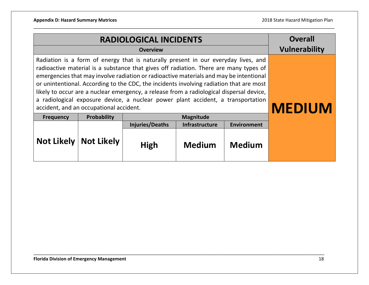|                                                                                                                                                                                                                                                                                                                                                                                                                                                                                                                                                                                             | <b>Overall</b><br><b>Vulnerability</b>                      |                        |                       |                    |  |  |
|---------------------------------------------------------------------------------------------------------------------------------------------------------------------------------------------------------------------------------------------------------------------------------------------------------------------------------------------------------------------------------------------------------------------------------------------------------------------------------------------------------------------------------------------------------------------------------------------|-------------------------------------------------------------|------------------------|-----------------------|--------------------|--|--|
| Radiation is a form of energy that is naturally present in our everyday lives, and<br>radioactive material is a substance that gives off radiation. There are many types of<br>emergencies that may involve radiation or radioactive materials and may be intentional<br>or unintentional. According to the CDC, the incidents involving radiation that are most<br>likely to occur are a nuclear emergency, a release from a radiological dispersal device,<br>a radiological exposure device, a nuclear power plant accident, a transportation<br>accident, and an occupational accident. | <b>MEDIUM</b>                                               |                        |                       |                    |  |  |
| <b>Frequency</b>                                                                                                                                                                                                                                                                                                                                                                                                                                                                                                                                                                            | <b>Probability</b>                                          |                        | <b>Magnitude</b>      |                    |  |  |
|                                                                                                                                                                                                                                                                                                                                                                                                                                                                                                                                                                                             |                                                             | <b>Injuries/Deaths</b> | <b>Infrastructure</b> | <b>Environment</b> |  |  |
| <b>Not Likely</b>                                                                                                                                                                                                                                                                                                                                                                                                                                                                                                                                                                           | <b>Not Likely</b><br><b>Medium</b><br>High<br><b>Medium</b> |                        |                       |                    |  |  |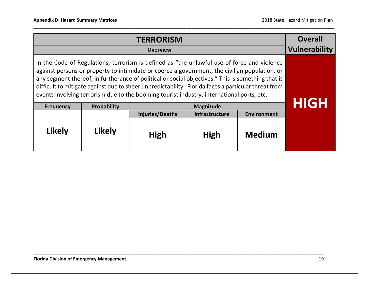|                                                                                                                                                                                                                                                                                                                                                                                                                                                                                                       | <b>Overall</b><br><b>Vulnerability</b>                         |      |                  |               |      |
|-------------------------------------------------------------------------------------------------------------------------------------------------------------------------------------------------------------------------------------------------------------------------------------------------------------------------------------------------------------------------------------------------------------------------------------------------------------------------------------------------------|----------------------------------------------------------------|------|------------------|---------------|------|
| In the Code of Regulations, terrorism is defined as "the unlawful use of force and violence<br>against persons or property to intimidate or coerce a government, the civilian population, or<br>any segment thereof, in furtherance of political or social objectives." This is something that is<br>difficult to mitigate against due to sheer unpredictability. Florida faces a particular threat from<br>events involving terrorism due to the booming tourist industry, international ports, etc. |                                                                |      |                  |               |      |
| <b>Frequency</b>                                                                                                                                                                                                                                                                                                                                                                                                                                                                                      | Probability                                                    |      | <b>Magnitude</b> |               | HIGH |
|                                                                                                                                                                                                                                                                                                                                                                                                                                                                                                       | <b>Injuries/Deaths</b><br>Infrastructure<br><b>Environment</b> |      |                  |               |      |
| Likely                                                                                                                                                                                                                                                                                                                                                                                                                                                                                                | Likely                                                         | High | High             | <b>Medium</b> |      |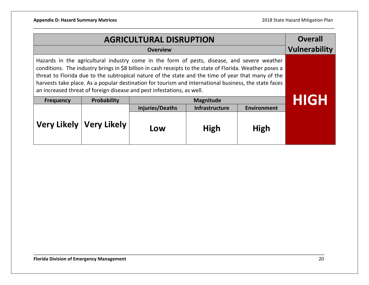|                                                                                                                                                                                                                                                                                                                                                                                                                                                                                                  | <b>Overall</b><br><b>Vulnerability</b> |                        |                                      |      |      |  |  |
|--------------------------------------------------------------------------------------------------------------------------------------------------------------------------------------------------------------------------------------------------------------------------------------------------------------------------------------------------------------------------------------------------------------------------------------------------------------------------------------------------|----------------------------------------|------------------------|--------------------------------------|------|------|--|--|
| Hazards in the agricultural industry come in the form of pests, disease, and severe weather<br>conditions. The industry brings in \$8 billion in cash receipts to the state of Florida. Weather poses a<br>threat to Florida due to the subtropical nature of the state and the time of year that many of the<br>harvests take place. As a popular destination for tourism and international business, the state faces<br>an increased threat of foreign disease and pest infestations, as well. |                                        |                        |                                      |      |      |  |  |
| <b>Frequency</b>                                                                                                                                                                                                                                                                                                                                                                                                                                                                                 | Probability                            |                        | <b>Magnitude</b>                     |      | HIGH |  |  |
|                                                                                                                                                                                                                                                                                                                                                                                                                                                                                                  |                                        | <b>Injuries/Deaths</b> | Infrastructure<br><b>Environment</b> |      |      |  |  |
|                                                                                                                                                                                                                                                                                                                                                                                                                                                                                                  | Very Likely   Very Likely              | Low                    | High                                 | High |      |  |  |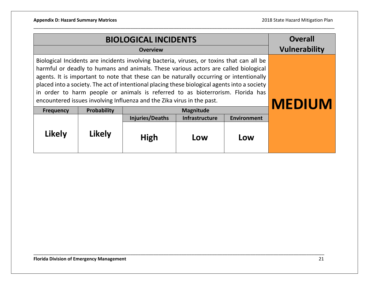|                                                                                                                                                                                                                                                                                                                                                                                                                                                                                                                                        | <b>Overall</b><br><b>Vulnerability</b> |                        |                       |                    |  |
|----------------------------------------------------------------------------------------------------------------------------------------------------------------------------------------------------------------------------------------------------------------------------------------------------------------------------------------------------------------------------------------------------------------------------------------------------------------------------------------------------------------------------------------|----------------------------------------|------------------------|-----------------------|--------------------|--|
| Biological Incidents are incidents involving bacteria, viruses, or toxins that can all be<br>harmful or deadly to humans and animals. These various actors are called biological<br>agents. It is important to note that these can be naturally occurring or intentionally<br>placed into a society. The act of intentional placing these biological agents into a society<br>in order to harm people or animals is referred to as bioterrorism. Florida has<br>encountered issues involving Influenza and the Zika virus in the past. | <b>MEDIUM</b>                          |                        |                       |                    |  |
| <b>Frequency</b>                                                                                                                                                                                                                                                                                                                                                                                                                                                                                                                       | Probability                            |                        | <b>Magnitude</b>      |                    |  |
|                                                                                                                                                                                                                                                                                                                                                                                                                                                                                                                                        |                                        | <b>Injuries/Deaths</b> | <b>Infrastructure</b> | <b>Environment</b> |  |
| <b>Likely</b><br><b>Likely</b><br><b>High</b><br>Low<br>Low                                                                                                                                                                                                                                                                                                                                                                                                                                                                            |                                        |                        |                       |                    |  |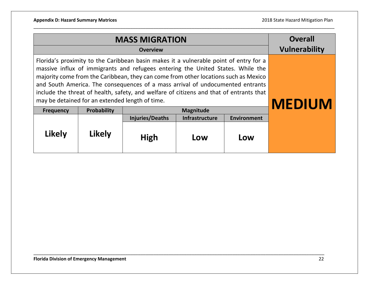|                                                                                                                                                                                                                                                                                                                                                                                                                                                                                                 | <b>Overall</b><br><b>Vulnerability</b> |                        |                  |                    |  |
|-------------------------------------------------------------------------------------------------------------------------------------------------------------------------------------------------------------------------------------------------------------------------------------------------------------------------------------------------------------------------------------------------------------------------------------------------------------------------------------------------|----------------------------------------|------------------------|------------------|--------------------|--|
| Florida's proximity to the Caribbean basin makes it a vulnerable point of entry for a<br>massive influx of immigrants and refugees entering the United States. While the<br>majority come from the Caribbean, they can come from other locations such as Mexico<br>and South America. The consequences of a mass arrival of undocumented entrants<br>include the threat of health, safety, and welfare of citizens and that of entrants that<br>may be detained for an extended length of time. | <b>MEDIUM</b>                          |                        |                  |                    |  |
| <b>Frequency</b>                                                                                                                                                                                                                                                                                                                                                                                                                                                                                | Probability                            |                        | <b>Magnitude</b> |                    |  |
|                                                                                                                                                                                                                                                                                                                                                                                                                                                                                                 |                                        | <b>Injuries/Deaths</b> | Infrastructure   | <b>Environment</b> |  |
| <b>Likely</b>                                                                                                                                                                                                                                                                                                                                                                                                                                                                                   |                                        |                        |                  |                    |  |